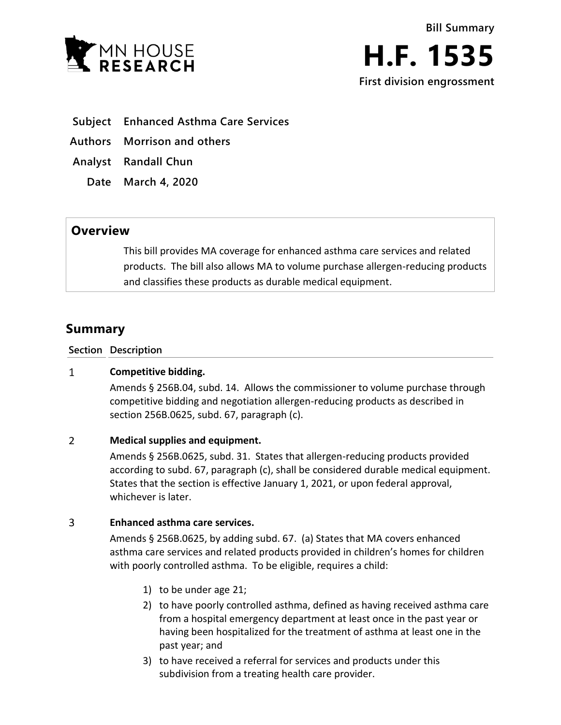



- **Subject Enhanced Asthma Care Services**
- **Authors Morrison and others**
- **Analyst Randall Chun**
	- **Date March 4, 2020**

## **Overview**

This bill provides MA coverage for enhanced asthma care services and related products. The bill also allows MA to volume purchase allergen-reducing products and classifies these products as durable medical equipment.

# **Summary**

### **Section Description**

#### $\mathbf{1}$ **Competitive bidding.**

Amends § 256B.04, subd. 14. Allows the commissioner to volume purchase through competitive bidding and negotiation allergen-reducing products as described in section 256B.0625, subd. 67, paragraph (c).

#### $\overline{2}$ **Medical supplies and equipment.**

Amends § 256B.0625, subd. 31. States that allergen-reducing products provided according to subd. 67, paragraph (c), shall be considered durable medical equipment. States that the section is effective January 1, 2021, or upon federal approval, whichever is later.

#### 3 **Enhanced asthma care services.**

Amends § 256B.0625, by adding subd. 67. (a) States that MA covers enhanced asthma care services and related products provided in children's homes for children with poorly controlled asthma. To be eligible, requires a child:

- 1) to be under age 21;
- 2) to have poorly controlled asthma, defined as having received asthma care from a hospital emergency department at least once in the past year or having been hospitalized for the treatment of asthma at least one in the past year; and
- 3) to have received a referral for services and products under this subdivision from a treating health care provider.